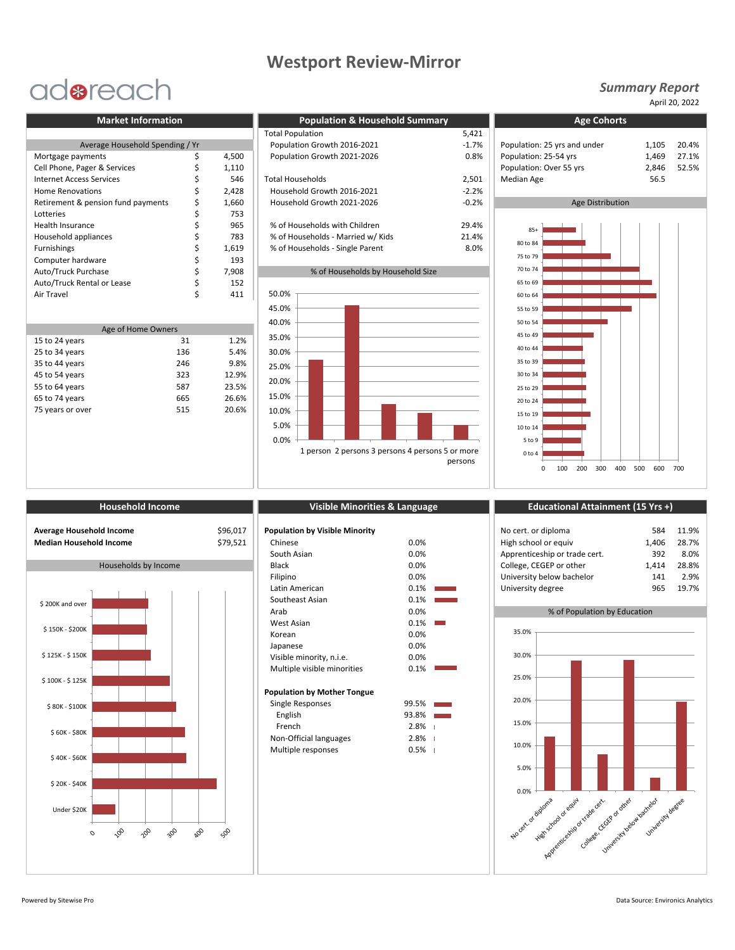## **Westport Review-Mirror**

# adoreach

|                                    |  |       | Total Population                  | 5,421   |                              |       |
|------------------------------------|--|-------|-----------------------------------|---------|------------------------------|-------|
| Average Household Spending / Yr    |  |       | Population Growth 2016-2021       | $-1.7%$ | Population: 25 yrs and under |       |
| Mortgage payments                  |  | 4,500 | Population Growth 2021-2026       | 0.8%    | Population: 25-54 yrs        | 1.469 |
| Cell Phone, Pager & Services       |  | 1,110 |                                   |         | Population: Over 55 yrs      | 2.846 |
| <b>Internet Access Services</b>    |  | 546   | <b>Total Households</b>           | 2,501   | Median Age                   | 56.5  |
| <b>Home Renovations</b>            |  | 2.428 | Household Growth 2016-2021        | $-2.2%$ |                              |       |
| Retirement & pension fund payments |  | 1,660 | Household Growth 2021-2026        | $-0.2%$ | Age Distribution             |       |
| Lotteries                          |  | 753   |                                   |         |                              |       |
| Health Insurance                   |  | 965   | % of Households with Children     | 29.4%   | $85+$                        |       |
| Household appliances               |  | 783   | % of Households - Married w/ Kids | 21.4%   |                              |       |
| Furnishings                        |  | 1,619 | % of Households - Single Parent   | 8.0%    | 80 to 84                     |       |
| Computer hardware                  |  | 193   |                                   |         | 75 to 79                     |       |
| Auto/Truck Purchase                |  | 7.908 | % of Households by Household Size |         | 70 to 74                     |       |
| Auto/Truck Rental or Lease         |  | 152   |                                   |         | 65 to 69                     |       |
| Air Travel                         |  | 411   | 50.0%                             |         | 60 to 64                     |       |

| Age of Home Owners |     |       |  |  |  |
|--------------------|-----|-------|--|--|--|
| 15 to 24 years     | 31  | 1.2%  |  |  |  |
| 25 to 34 years     | 136 | 5.4%  |  |  |  |
| 35 to 44 years     | 246 | 9.8%  |  |  |  |
| 45 to 54 years     | 323 | 12.9% |  |  |  |
| 55 to 64 years     | 587 | 23.5% |  |  |  |
| 65 to 74 years     | 665 | 26.6% |  |  |  |
| 75 years or over   | 515 | 20.6% |  |  |  |
|                    |     |       |  |  |  |

| <b>Market Information</b>          |  |                             | <b>Population &amp; Household Summary</b> |                              | <b>Age Cohorts</b>      |       |  |
|------------------------------------|--|-----------------------------|-------------------------------------------|------------------------------|-------------------------|-------|--|
|                                    |  |                             | <b>Total Population</b>                   | 5,421                        |                         |       |  |
| Average Household Spending / Yr    |  | Population Growth 2016-2021 | $-1.7%$                                   | Population: 25 yrs and under | 1.105                   |       |  |
| Mortgage payments                  |  | 4,500                       | Population Growth 2021-2026               | 0.8%                         | Population: 25-54 yrs   | 1,469 |  |
| Cell Phone, Pager & Services       |  | 1,110                       |                                           |                              | Population: Over 55 yrs | 2.846 |  |
| Internet Access Services           |  | 546                         | <b>Total Households</b>                   | 2,501                        | <b>Median Age</b>       | 56.5  |  |
| Home Renovations                   |  | 2,428                       | Household Growth 2016-2021                | $-2.2%$                      |                         |       |  |
| Retirement & pension fund payments |  | 1,660                       | Household Growth 2021-2026                | $-0.2%$                      | Age Distribution        |       |  |
| Lotteries                          |  | 753                         |                                           |                              |                         |       |  |
| <b>Health Insurance</b>            |  | 965                         | % of Households with Children             | 29.4%                        | $85+$                   |       |  |
| Household appliances               |  | 783                         | % of Households - Married w/ Kids         | 21.4%                        |                         |       |  |
| Furnishings                        |  | 1,619                       | % of Households - Single Parent           | 8.0%                         | 80 to 84                |       |  |
| Computer hardware                  |  | 102                         |                                           |                              | 75 to 79                |       |  |

### % of Households by Household Size



### *Summary Report*

April 20, 2022



| Average Household Income       |  |
|--------------------------------|--|
| <b>Median Household Income</b> |  |



| <b>Population by Visible Minority</b> |         |   |
|---------------------------------------|---------|---|
| Chinese                               | 0.0%    |   |
| South Asian                           | $0.0\%$ |   |
| <b>Black</b>                          | 0.0%    |   |
| Filipino                              | 0.0%    |   |
| Latin American                        | 0.1%    |   |
| Southeast Asian                       | 0.1%    |   |
| Arab                                  | 0.0%    |   |
| West Asian                            | 0.1%    |   |
| Korean                                | 0.0%    |   |
| Japanese                              | 0.0%    |   |
| Visible minority, n.i.e.              | 0.0%    |   |
| Multiple visible minorities           | 0.1%    |   |
| <b>Population by Mother Tongue</b>    |         |   |
| Single Responses                      | 99.5%   |   |
| English                               | 93.8%   |   |
| French                                | 2.8%    | ı |
| Non-Official languages                | 2.8%    | ı |
| Multiple responses                    | 0.5%    | ı |
|                                       |         |   |

### **Household Income Visible Minorities & Language Educational Attainment (15 Yrs +)**

| Average Household Income<br>Median Household Income | \$96,017<br>\$79,521 | <b>Population by Visible Minority</b><br>Chinese<br>South Asian | 0.0%<br>0.0% | No cert. or diploma<br>High school or equiv<br>Apprenticeship or trade cert. | 584<br>406.ء<br>392 | 11.9%<br>28.7%<br>8.0% |
|-----------------------------------------------------|----------------------|-----------------------------------------------------------------|--------------|------------------------------------------------------------------------------|---------------------|------------------------|
| Households by Income                                |                      | Black                                                           | 0.0%         | College, CEGEP or other                                                      | L.414               | 28.8%                  |
|                                                     |                      | Filipino                                                        | 0.0%         | University below bachelor                                                    | 141                 | 2.9%                   |
|                                                     |                      | Latin American                                                  | 0.1%         | University degree                                                            | 965                 | 19.7%                  |

% of Population by Education

## No cert. of diploma High school of equival according to the certification of trade cert Kitte Strange of Cancel CeccEGE or other University below backedor University degree 0.0% 5.0% 10.0% 15.0% 20.0% 25.0% 30.0% 35.0%